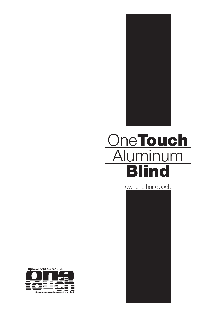

# OneTouch Aluminum **Blind**

owner's handbook



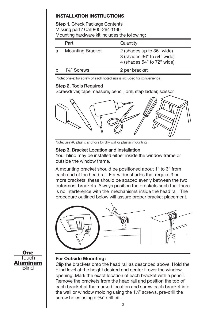# **INSTALLATION INSTRUCTIONS**

**Step 1.** Check Package Contents Missing part? Call 800-264-1190 Mounting hardware kit includes the following:

|   | Part                    | Quantity                                                                              |
|---|-------------------------|---------------------------------------------------------------------------------------|
| a | <b>Mounting Bracket</b> | 2 (shades up to 36" wide)<br>3 (shades 36" to 54" wide)<br>4 (shades 54" to 72" wide) |
|   | 1 <sup>/8</sup> Screws  | 2 per bracket                                                                         |

[Note: one extra screw of each noted size is included for convenience]

## **Step 2.** Tools Required

Screwdriver, tape measure, pencil, drill, step ladder, scissor.



Note: use #6 plastic anchors for dry wall or plaster mounting.

## **Step 3.** Bracket Location and Installation

Your blind may be installed either inside the window frame or outside the window frame.

A mounting bracket should be positioned about 1" to 3" from each end of the head rail. For wider shades that require 3 or more brackets, these should be spaced evenly between the two outermost brackets. Always position the brackets such that there is no interference with the mechanisms inside the head rail. The procedure outlined below will assure proper bracket placement.





## **For Outside Mounting:**

Clip the brackets onto the head rail as described above. Hold the blind level at the height desired and center it over the window opening. Mark the exact location of each bracket with a pencil. Remove the brackets from the head rail and position the top of each bracket at the marked location and screw each bracket into the wall or window molding using the 1<sup>1</sup>/<sub>8</sub>" screws, pre-drill the screw holes using a 5/64" drill bit.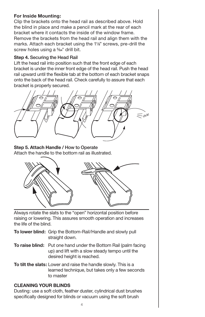## **For Inside Mounting:**

Clip the brackets onto the head rail as described above. Hold the blind in place and make a pencil mark at the rear of each bracket where it contacts the inside of the window frame. Remove the brackets from the head rail and align them with the marks. Attach each bracket using the 11/8" screws, pre-drill the screw holes using a 5/64" drill bit.

## **Step 4.** Securing the Head Rail

Lift the head rail into position such that the front edge of each bracket is under the inner front edge of the head rail. Push the head rail upward until the flexible tab at the bottom of each bracket snaps onto the back of the head rail. Check carefully to assure that each bracket is properly secured.



#### **Step 5. Attach Handle /** How to Operate

Attach the handle to the bottom rail as illustrated.



Always rotate the slats to the "open" horizontal position before raising or lowering. This assures smooth operation and increases the life of the blind.

- **To lower blind:** Grip the Bottom-Rail/Handle and slowly pull straight down.
- **To raise blind:** Put one hand under the Bottom Rail (palm facing up) and lift with a slow steady tempo until the desired height is reached.
- **To tilt the slats:** Lower and raise the handle slowly. This is a learned technique, but takes only a few seconds to master

## **CLEANING YOUR BLINDS**

Dusting: use a soft cloth, feather duster, cylindrical dust brushes specifically designed for blinds or vacuum using the soft brush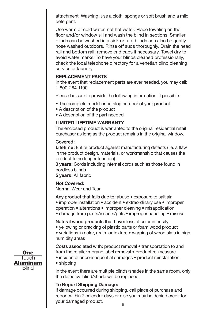attachment. Washing: use a cloth, sponge or soft brush and a mild detergent.

Use warm or cold water, not hot water. Place toweling on the floor and/or window sill and wash the blind in sections. Smaller blinds can be washed in a sink or tub; blinds can also be gently hose washed outdoors. Rinse off suds thoroughly. Drain the head rail and bottom rail; remove end caps if necessary. Towel dry to avoid water marks. To have your blinds cleaned professionally, check the local telephone directory for a venetian blind cleaning service or laundry.

#### **REPLACEMENT PARTS**

In the event that replacement parts are ever needed, you may call: 1-800-264-1190

Please be sure to provide the following information, if possible:

- The complete model or catalog number of your product
- A description of the product
- A description of the part needed

## **LIMITED LIFETIME WARRANTY**

The enclosed product is warranted to the original residential retail purchaser as long as the product remains in the original window.

#### Covered:

**Lifetime:** Entire product against manufacturing defects (i.e. a flaw in the product design, materials, or workmanship that causes the product to no longer function)

**3 years:** Cords including internal cords such as those found in cordless blinds.

**5 years:** All fabric

#### **Not Covered:**

Normal Wear and Tear

Any product that fails due to: abuse • exposure to salt air • improper installation • accident • extraordinary use • improper operation • alterations • improper cleaning • misapplication

• damage from pests/insects/pets • improper handling • misuse

Natural wood products that have: loss of color intensity

• yellowing or cracking of plastic parts or foam wood product

• variations in color, grain, or texture • warping of wood slats in high humidity areas

Costs associated with: product removal • transportation to and from the retailer • brand label removal • product re-measure

• incidental or consequential damages • product reinstallation

• shipping

In the event there are multiple blinds/shades in the same room, only the defective blind/shade will be replaced.

## **To Report Shipping Damage:**

5 If damage occurred during shipping, call place of purchase and report within 7 calendar days or else you may be denied credit for your damaged product.